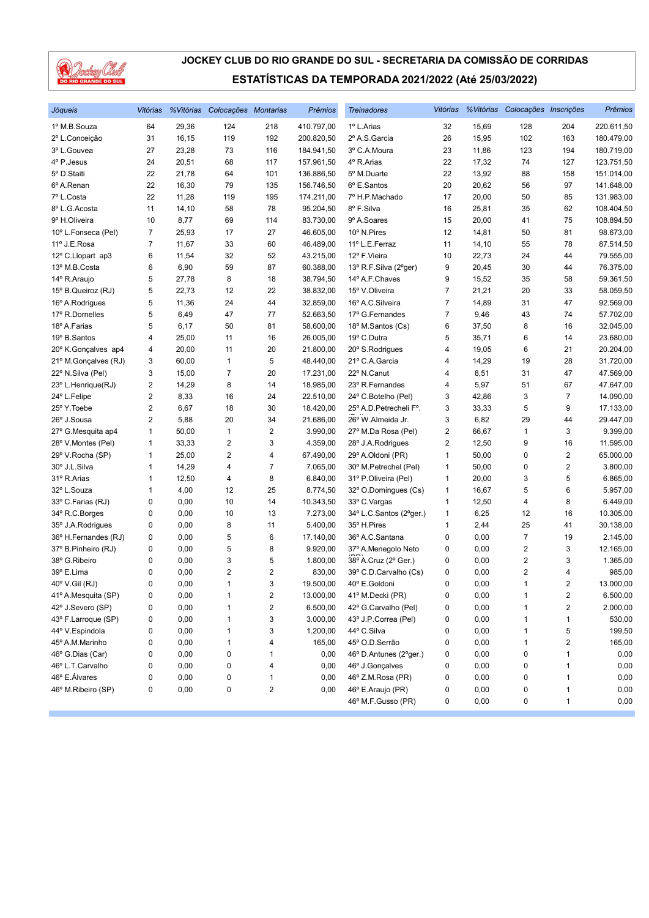

| Jóqueis              | Vitórias       |       | %Vitórias Colocações Montarias |                         | <b>Prêmios</b> | <b>Treinadores</b>      | Vitórias       |       | %Vitórias Colocações Inscrições |                         | Prêmios    |
|----------------------|----------------|-------|--------------------------------|-------------------------|----------------|-------------------------|----------------|-------|---------------------------------|-------------------------|------------|
| 1º M.B.Souza         | 64             | 29,36 | 124                            | 218                     | 410.797,00     | 1º L.Arias              | 32             | 15,69 | 128                             | 204                     | 220.611,50 |
| 2º L.Conceição       | 31             | 16,15 | 119                            | 192                     | 200.820,50     | 2º A.S. Garcia          | 26             | 15,95 | 102                             | 163                     | 180.479,00 |
| 3º L.Gouvea          | 27             | 23,28 | 73                             | 116                     | 184.941,50     | 3º C.A.Moura            | 23             | 11,86 | 123                             | 194                     | 180.719,00 |
| 4º P.Jesus           | 24             | 20,51 | 68                             | 117                     | 157.961,50     | 4º R.Arias              | 22             | 17,32 | 74                              | 127                     | 123.751,50 |
| 5º D.Staiti          | 22             | 21,78 | 64                             | 101                     | 136.886,50     | 5º M.Duarte             | 22             | 13,92 | 88                              | 158                     | 151.014,00 |
| 6º A.Renan           | 22             | 16,30 | 79                             | 135                     | 156.746,50     | 6° E.Santos             | 20             | 20,62 | 56                              | 97                      | 141.648,00 |
| 7º L.Costa           | 22             | 11,28 | 119                            | 195                     | 174.211,00     | 7º H.P.Machado          | 17             | 20,00 | 50                              | 85                      | 131.983,00 |
| 8º L.G.Acosta        | 11             | 14,10 | 58                             | 78                      | 95.204,50      | 8º F.Silva              | 16             | 25,81 | 35                              | 62                      | 108.404,50 |
| 9º H.Oliveira        | 10             | 8,77  | 69                             | 114                     | 83.730,00      | 9º A.Soares             | 15             | 20,00 | 41                              | 75                      | 108.894,50 |
| 10° L.Fonseca (Pel)  | $\overline{7}$ | 25,93 | 17                             | 27                      | 46.605,00      | 10° N.Pires             | 12             | 14,81 | 50                              | 81                      | 98.673,00  |
| 11º J.E.Rosa         | 7              | 11,67 | 33                             | 60                      | 46.489,00      | 11º L.E.Ferraz          | 11             | 14,10 | 55                              | 78                      | 87.514,50  |
| 12º C.Llopart ap3    | 6              | 11,54 | 32                             | 52                      | 43.215,00      | 12º F.Vieira            | 10             | 22,73 | 24                              | 44                      | 79.555,00  |
| 13º M.B.Costa        | 6              | 6,90  | 59                             | 87                      | 60.388,00      | 13º R.F.Silva (2°ger)   | 9              | 20,45 | 30                              | 44                      | 76.375,00  |
| 14º R.Araujo         | 5              | 27,78 | 8                              | 18                      | 38.794,50      | 14º A.F.Chaves          | 9              | 15,52 | 35                              | 58                      | 59.361,50  |
| 15° B.Queiroz (RJ)   | 5              | 22,73 | 12                             | 22                      | 38.832,00      | 15° V.Oliveira          | $\overline{7}$ | 21,21 | 20                              | 33                      | 58.059,50  |
| 16° A.Rodrigues      | 5              | 11,36 | 24                             | 44                      | 32.859,00      | 16º A.C.Silveira        | $\overline{7}$ | 14,89 | 31                              | 47                      | 92.569,00  |
| 17º R.Dornelles      | 5              | 6,49  | 47                             | 77                      | 52.663,50      | 17º G.Fernandes         | $\overline{7}$ | 9,46  | 43                              | 74                      | 57.702,00  |
| 18º A.Farias         | 5              | 6,17  | 50                             | 81                      | 58.600,00      | 18º M.Santos (Cs)       | 6              | 37,50 | 8                               | 16                      | 32.045,00  |
| 19º B.Santos         | 4              | 25,00 | 11                             | 16                      | 26.005,00      | 19° C.Dutra             | 5              | 35,71 | 6                               | 14                      | 23.680,00  |
| 20° K.Gonçalves ap4  | 4              | 20,00 | 11                             | 20                      | 21.800,00      | 20° S.Rodrigues         | 4              | 19,05 | 6                               | 21                      | 20.204,00  |
| 21º M.Gonçalves (RJ) | 3              | 60,00 | $\mathbf{1}$                   | 5                       | 48.440,00      | 21º C.A.Garcia          | 4              | 14,29 | 19                              | 28                      | 31.720,00  |
| 22° N.Silva (Pel)    | 3              | 15,00 | $\overline{7}$                 | 20                      | 17.231,00      | 22º N.Canut             | 4              | 8,51  | 31                              | 47                      | 47.569,00  |
| 23° L.Henrique(RJ)   | 2              | 14,29 | 8                              | 14                      | 18.985,00      | 23º R.Fernandes         | 4              | 5,97  | 51                              | 67                      | 47.647,00  |
| 24° L.Felipe         | 2              | 8,33  | 16                             | 24                      | 22.510,00      | 24° C.Botelho (Pel)     | 3              | 42,86 | 3                               | $\overline{7}$          | 14.090,00  |
| 25° Y. Toebe         | 2              | 6,67  | 18                             | 30                      | 18.420,00      | 25° A.D. Petrecheli F°. | 3              | 33,33 | 5                               | 9                       | 17.133,00  |
| 26° J.Sousa          | 2              | 5,88  | 20                             | 34                      | 21.686,00      | 26° W.Almeida Jr.       | 3              | 6,82  | 29                              | 44                      | 29.447,00  |
| 27º G.Mesquita ap4   | 1              | 50,00 | $\mathbf{1}$                   | 2                       | 3.990,00       | 27° M.Da Rosa (Pel)     | $\overline{2}$ | 66,67 | $\mathbf{1}$                    | 3                       | 9.399,00   |
| 28° V.Montes (Pel)   | 1              | 33,33 | 2                              | 3                       | 4.359,00       | 28° J.A.Rodrigues       | $\overline{2}$ | 12,50 | 9                               | 16                      | 11.595,00  |
| 29° V.Rocha (SP)     | 1              | 25,00 | $\overline{2}$                 | 4                       | 67.490,00      | 29° A.Oldoni (PR)       | 1              | 50,00 | $\pmb{0}$                       | $\overline{\mathbf{c}}$ | 65.000,00  |
| 30° J.L.Silva        | 1              | 14,29 | 4                              | 7                       | 7.065,00       | 30° M.Petrechel (Pel)   | $\mathbf{1}$   | 50,00 | $\pmb{0}$                       | $\sqrt{2}$              | 3.800,00   |
| 31º R.Arias          | 1              | 12,50 | 4                              | 8                       | 6.840,00       | 31º P.Oliveira (Pel)    | $\mathbf{1}$   | 20,00 | 3                               | 5                       | 6.865,00   |
| 32º L.Souza          | 1              | 4,00  | 12                             | 25                      | 8.774,50       | 32° O.Domingues (Cs)    | $\mathbf{1}$   | 16,67 | 5                               | 6                       | 5.957,00   |
| 33º C.Farias (RJ)    | 0              | 0,00  | 10                             | 14                      | 10.343,50      | 33º C.Vargas            | $\mathbf{1}$   | 12,50 | 4                               | 8                       | 6.449,00   |
| 34° R.C.Borges       | 0              | 0,00  | 10                             | 13                      | 7.273,00       | 34° L.C.Santos (2°ger.) | $\mathbf{1}$   | 6,25  | 12                              | 16                      | 10.305,00  |
| 35° J.A.Rodrigues    | 0              | 0,00  | 8                              | 11                      | 5.400,00       | 35° H.Pires             | $\mathbf{1}$   | 2,44  | 25                              | 41                      | 30.138,00  |
| 36° H.Fernandes (RJ) | 0              | 0,00  | 5                              | 6                       | 17.140,00      | 36º A.C.Santana         | $\pmb{0}$      | 0,00  | $\overline{7}$                  | 19                      | 2.145,00   |
| 37º B.Pinheiro (RJ)  | 0              | 0,00  | 5                              | 8                       | 9.920,00       | 37º A.Menegolo Neto     | 0              | 0,00  | $\sqrt{2}$                      | 3                       | 12.165,00  |
| 38° G.Ribeiro        | 0              | 0,00  | 3                              | 5                       | 1.800,00       | 38° A.Cruz (2° Ger.)    | 0              | 0,00  | 2                               | 3                       | 1.365,00   |
| 39° E.Lima           | 0              | 0,00  | $\overline{2}$                 | $\overline{2}$          | 830,00         | 39° C.D.Carvalho (Cs)   | 0              | 0,00  | $\overline{2}$                  | 4                       | 985,00     |
| 40° V.Gil (RJ)       | 0              | 0,00  | $\mathbf{1}$                   | 3                       | 19.500,00      | 40° E.Goldoni           | 0              | 0,00  | $\mathbf{1}$                    | $\overline{2}$          | 13.000,00  |
| 41º A.Mesquita (SP)  | 0              | 0,00  | 1                              | 2                       | 13.000,00      | 41º M.Decki (PR)        | $\pmb{0}$      | 0,00  | 1                               | $\overline{\mathbf{c}}$ | 6.500,00   |
| 42º J.Severo (SP)    | 0              | 0,00  | 1                              | 2                       | 6.500,00       | 42° G.Carvalho (Pel)    | 0              | 0,00  | 1                               | $\sqrt{2}$              | 2.000,00   |
| 43° F.Larroque (SP)  | 0              | 0,00  | 1                              | 3                       | 3.000,00       | 43° J.P.Correa (Pel)    | 0              | 0,00  | 1                               | 1                       | 530,00     |
| 44º V.Espindola      | 0              | 0,00  | 1                              | 3                       | 1.200,00       | 44° C.Silva             | 0              | 0,00  | 1                               | 5                       | 199,50     |
| 45° A.M.Marinho      | 0              | 0,00  | 1                              | 4                       | 165,00         | 45º O.D.Serrão          | 0              | 0,00  | 1                               | $\boldsymbol{2}$        | 165,00     |
| 46° G.Dias (Car)     | 0              | 0,00  | 0                              | 1                       | 0,00           | 46° D.Antunes (2°ger.)  | 0              | 0,00  | 0                               | $\mathbf{1}$            | 0,00       |
| 46° L.T.Carvalho     | 0              | 0,00  | 0                              | 4                       | 0,00           | 46° J.Gonçalves         | 0              | 0,00  | 0                               | $\mathbf{1}$            | 0,00       |
| 46° E.Álvares        | 0              | 0,00  | 0                              | 1                       | 0,00           | 46° Z.M.Rosa (PR)       | 0              | 0,00  | 0                               | 1                       | 0,00       |
| 46° M.Ribeiro (SP)   | 0              | 0,00  | 0                              | $\overline{\mathbf{c}}$ | 0,00           | 46° E.Araujo (PR)       | 0              | 0,00  | 0                               | $\mathbf{1}$            | 0,00       |
|                      |                |       |                                |                         |                | 46° M.F.Gusso (PR)      | 0              | 0,00  | 0                               | $\mathbf{1}$            | 0,00       |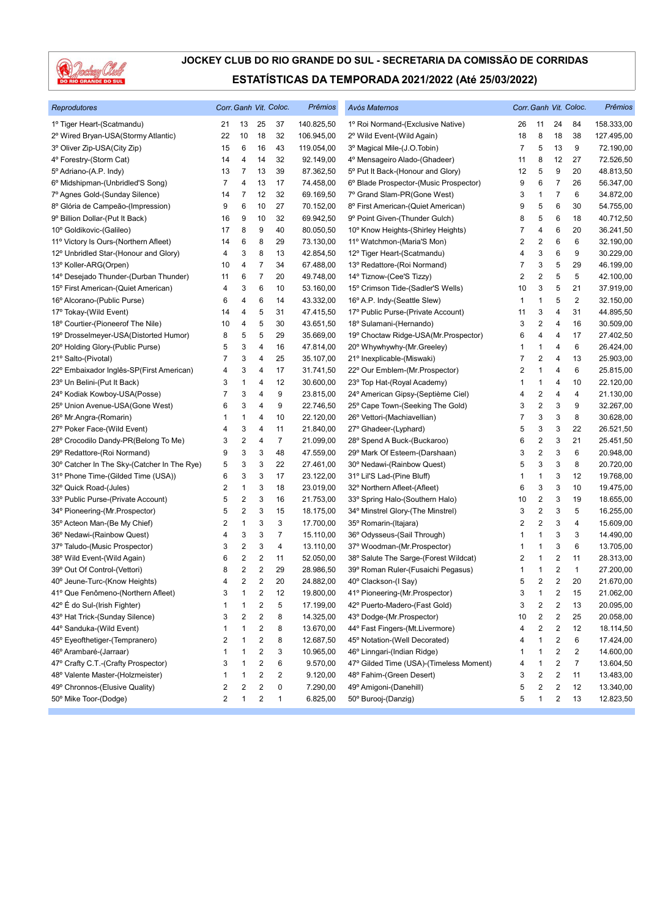

| Reprodutores                                |                |    |                         | Corr. Ganh Vit. Coloc. | Prêmios    | Avós Maternos                           | Corr. Ganh Vit. Coloc. |                         |    |                | Prêmios    |
|---------------------------------------------|----------------|----|-------------------------|------------------------|------------|-----------------------------------------|------------------------|-------------------------|----|----------------|------------|
| 1º Tiger Heart-(Scatmandu)                  | 21             | 13 | 25                      | 37                     | 140.825,50 | 1º Roi Normand-(Exclusive Native)       | 26                     | 11                      | 24 | 84             | 158.333,00 |
| 2º Wired Bryan-USA(Stormy Atlantic)         | 22             | 10 | 18                      | 32                     | 106.945,00 | 2º Wild Event-(Wild Again)              | 18                     | 8                       | 18 | 38             | 127.495,00 |
| 3º Oliver Zip-USA(City Zip)                 | 15             | 6  | 16                      | 43                     | 119.054,00 | 3º Magical Mile-(J.O.Tobin)             | 7                      | 5                       | 13 | 9              | 72.190,00  |
| 4º Forestry-(Storm Cat)                     | 14             | 4  | 14                      | 32                     | 92.149,00  | 4º Mensageiro Alado-(Ghadeer)           | 11                     | 8                       | 12 | 27             | 72.526,50  |
| 5° Adriano-(A.P. Indy)                      | 13             | 7  | 13                      | 39                     | 87.362,50  | 5° Put It Back-(Honour and Glory)       | 12                     | 5                       | 9  | 20             | 48.813,50  |
| 6º Midshipman-(Unbridled'S Song)            | $\overline{7}$ | 4  | 13                      | 17                     | 74.458,00  | 6º Blade Prospector-(Music Prospector)  | 9                      | 6                       | 7  | 26             | 56.347,00  |
| 7º Agnes Gold-(Sunday Silence)              | 14             | 7  | 12                      | 32                     | 69.169,50  | 7º Grand Slam-PR(Gone West)             | 3                      | 1                       | 7  | 6              | 34.872,00  |
| 8º Glória de Campeão-(Impression)           | 9              | 6  | 10                      | 27                     | 70.152,00  | 8º First American-(Quiet American)      | 9                      | 5                       | 6  | 30             | 54.755,00  |
| 9º Billion Dollar-(Put It Back)             | 16             | 9  | 10                      | 32                     | 69.942,50  | 9º Point Given-(Thunder Gulch)          | 8                      | 5                       | 6  | 18             | 40.712,50  |
| 10° Goldikovic-(Galileo)                    | 17             | 8  | 9                       | 40                     | 80.050,50  | 10° Know Heights-(Shirley Heights)      | 7                      | 4                       | 6  | 20             | 36.241,50  |
| 11º Victory Is Ours-(Northern Afleet)       | 14             | 6  | 8                       | 29                     | 73.130,00  | 11º Watchmon-(Maria'S Mon)              | 2                      | $\overline{\mathbf{c}}$ | 6  | 6              | 32.190,00  |
| 12º Unbridled Star-(Honour and Glory)       | 4              | 3  | 8                       | 13                     | 42.854,50  | 12º Tiger Heart-(Scatmandu)             | 4                      | 3                       | 6  | 9              | 30.229,00  |
| 13° Koller-ARG(Orpen)                       | 10             | 4  | 7                       | 34                     | 67.488,00  | 13º Redattore-(Roi Normand)             | 7                      | 3                       | 5  | 29             | 46.199,00  |
| 14º Desejado Thunder-(Durban Thunder)       | 11             | 6  | 7                       | 20                     | 49.748,00  | 14° Tiznow-(Cee'S Tizzy)                | 2                      | $\overline{\mathbf{c}}$ | 5  | 5              | 42.100,00  |
| 15° First American-(Quiet American)         | 4              | 3  | 6                       | 10                     | 53.160,00  | 15° Crimson Tide-(Sadler'S Wells)       | 10                     | 3                       | 5  | 21             | 37.919,00  |
| 16º Alcorano-(Public Purse)                 | 6              | 4  | 6                       | 14                     | 43.332,00  | 16° A.P. Indy-(Seattle Slew)            | 1                      | 1                       | 5  | $\overline{2}$ | 32.150,00  |
| 17º Tokay-(Wild Event)                      | 14             | 4  | 5                       | 31                     | 47.415,50  | 17º Public Purse-(Private Account)      | 11                     | 3                       | 4  | 31             | 44.895,50  |
| 18° Courtier-(Pioneerof The Nile)           | 10             | 4  | 5                       | 30                     | 43.651,50  | 18° Sulamani-(Hernando)                 | 3                      | $\sqrt{2}$              | 4  | 16             | 30.509,00  |
| 19° Drosselmeyer-USA(Distorted Humor)       | 8              | 5  | 5                       | 29                     | 35.669,00  | 19° Choctaw Ridge-USA(Mr.Prospector)    | 6                      | 4                       | 4  | 17             | 27.402,50  |
| 20° Holding Glory-(Public Purse)            | 5              | 3  | 4                       | 16                     | 47.814,00  | 20° Whywhywhy-(Mr.Greeley)              | 1                      | 1                       | 4  | 6              | 26.424,00  |
| 21º Salto-(Pivotal)                         | 7              | 3  | 4                       | 25                     | 35.107,00  | 21º Inexplicable-(Miswaki)              | 7                      | 2                       | 4  | 13             | 25.903,00  |
| 22° Embaixador Inglês-SP(First American)    | 4              | 3  | 4                       | 17                     | 31.741,50  | 22° Our Emblem-(Mr.Prospector)          | 2                      | $\mathbf{1}$            | 4  | 6              | 25.815,00  |
| 23° Un Belini-(Put It Back)                 | 3              | 1  | 4                       | 12                     | 30.600,00  | 23° Top Hat-(Royal Academy)             | 1                      | 1                       | 4  | 10             | 22.120,00  |
| 24° Kodiak Kowboy-USA(Posse)                | 7              | 3  | 4                       | 9                      | 23.815,00  | 24º American Gipsy-(Septième Ciel)      | 4                      | 2                       | 4  | 4              | 21.130,00  |
| 25° Union Avenue-USA(Gone West)             | 6              | 3  | 4                       | 9                      | 22.746,50  | 25° Cape Town-(Seeking The Gold)        | 3                      | $\overline{\mathbf{c}}$ | 3  | 9              | 32.267,00  |
| 26° Mr.Angra-(Romarin)                      | 1              | 1  | 4                       | 10                     | 22.120,00  | 26° Vettori-(Machiavellian)             | 7                      | 3                       | 3  | 8              | 30.628,00  |
| 27° Poker Face-(Wild Event)                 | 4              | 3  | 4                       | 11                     | 21.840,00  | 27° Ghadeer-(Lyphard)                   | 5                      | 3                       | 3  | 22             | 26.521,50  |
| 28° Crocodilo Dandy-PR(Belong To Me)        | 3              | 2  | 4                       | $\overline{7}$         | 21.099,00  | 28° Spend A Buck-(Buckaroo)             | 6                      | 2                       | 3  | 21             | 25.451,50  |
| 29° Redattore-(Roi Normand)                 | 9              | 3  | 3                       | 48                     | 47.559,00  | 29° Mark Of Esteem-(Darshaan)           | 3                      | $\overline{\mathbf{c}}$ | 3  | 6              | 20.948,00  |
| 30° Catcher In The Sky-(Catcher In The Rye) | 5              | 3  | 3                       | 22                     | 27.461,00  | 30° Nedawi-(Rainbow Quest)              | 5                      | 3                       | 3  | 8              | 20.720,00  |
| 31º Phone Time-(Gilded Time (USA))          | 6              | 3  | 3                       | 17                     | 23.122,00  | 31º Lil'S Lad-(Pine Bluff)              | 1                      | 1                       | 3  | 12             | 19.768,00  |
| 32° Quick Road-(Jules)                      | 2              | 1  | 3                       | 18                     | 23.019,00  | 32° Northern Afleet-(Afleet)            | 6                      | 3                       | 3  | 10             | 19.475,00  |
| 33º Public Purse-(Private Account)          | 5              | 2  | 3                       | 16                     | 21.753,00  | 33° Spring Halo-(Southern Halo)         | 10                     | $\overline{\mathbf{c}}$ | 3  | 19             | 18.655,00  |
| 34° Pioneering-(Mr.Prospector)              | 5              | 2  | 3                       | 15                     | 18.175,00  | 34° Minstrel Glory-(The Minstrel)       | 3                      | 2                       | 3  | 5              | 16.255,00  |
| 35° Acteon Man-(Be My Chief)                | 2              | 1  | 3                       | 3                      | 17.700,00  | 35° Romarin-(Itajara)                   | 2                      | $\overline{\mathbf{c}}$ | 3  | 4              | 15.609,00  |
| 36° Nedawi-(Rainbow Quest)                  | 4              | 3  | 3                       | 7                      | 15.110,00  | 36° Odysseus-(Sail Through)             | 1                      | 1                       | 3  | 3              | 14.490,00  |
| 37º Taludo-(Music Prospector)               | 3              | 2  | 3                       | 4                      | 13.110,00  | 37º Woodman-(Mr.Prospector)             | 1                      | 1                       | 3  | 6              | 13.705,00  |
| 38° Wild Event-(Wild Again)                 | 6              | 2  | 2                       | 11                     | 52.050,00  | 38° Salute The Sarge-(Forest Wildcat)   | 2                      | 1                       | 2  | 11             | 28.313,00  |
| 39° Out Of Control-(Vettori)                | 8              | 2  | $\overline{c}$          | 29                     | 28.986,50  | 39° Roman Ruler-(Fusaichi Pegasus)      | 1                      | 1                       | 2  | $\mathbf{1}$   | 27.200,00  |
| 40° Jeune-Turc-(Know Heights)               | 4              | 2  | $\overline{\mathbf{c}}$ | 20                     | 24.882,00  | 40° Clackson-(I Say)                    | 5                      | $\overline{\mathbf{c}}$ | 2  | 20             | 21.670,00  |
| 41° Que Fenômeno-(Northern Afleet)          | 3              | 1  | 2                       | 12                     | 19.800,00  | 41º Pioneering-(Mr.Prospector)          | 3                      | 1                       | 2  | 15             | 21.062,00  |
| 42° É do Sul-(Irish Fighter)                | $\mathbf{1}$   | 1  | 2                       | 5                      | 17.199,00  | 42° Puerto-Madero-(Fast Gold)           | 3                      | 2                       | 2  | 13             | 20.095,00  |
| 43º Hat Trick-(Sunday Silence)              | 3              | 2  | 2                       | 8                      | 14.325,00  | 43° Dodge-(Mr.Prospector)               | 10                     | 2                       | 2  | 25             | 20.058,00  |
| 44° Sanduka-(Wild Event)                    | 1              | 1  | 2                       | 8                      | 13.670,00  | 44° Fast Fingers-(Mt.Livermore)         | 4                      | 2                       | 2  | 12             | 18.114,50  |
| 45° Eyeofthetiger-(Tempranero)              | 2              |    | 2                       | 8                      | 12.687,50  | 45° Notation-(Well Decorated)           | 4                      | 1                       | 2  | 6              | 17.424,00  |
| 46° Arambaré-(Jarraar)                      | 1              | 1  | 2                       | 3                      | 10.965,00  | 46° Linngari-(Indian Ridge)             | 1                      | 1                       | 2  | 2              | 14.600,00  |
| 47° Crafty C.T.-(Crafty Prospector)         | 3              | 1  | 2                       | 6                      | 9.570,00   | 47° Gilded Time (USA)-(Timeless Moment) | 4                      | 1                       | 2  | $\overline{7}$ | 13.604,50  |
| 48° Valente Master-(Holzmeister)            | 1              | 1  | 2                       | 2                      | 9.120,00   | 48° Fahim-(Green Desert)                | 3                      | $\overline{\mathbf{c}}$ | 2  | 11             | 13.483,00  |
| 49° Chronnos-(Elusive Quality)              | 2              | 2  | 2                       | 0                      | 7.290,00   | 49° Amigoni-(Danehill)                  | 5                      | $\overline{\mathbf{c}}$ | 2  | 12             | 13.340,00  |
| 50° Mike Toor-(Dodge)                       | 2              | 1  | 2                       | 1                      | 6.825,00   | 50° Burooj-(Danzig)                     | 5                      | 1                       | 2  | 13             | 12.823,50  |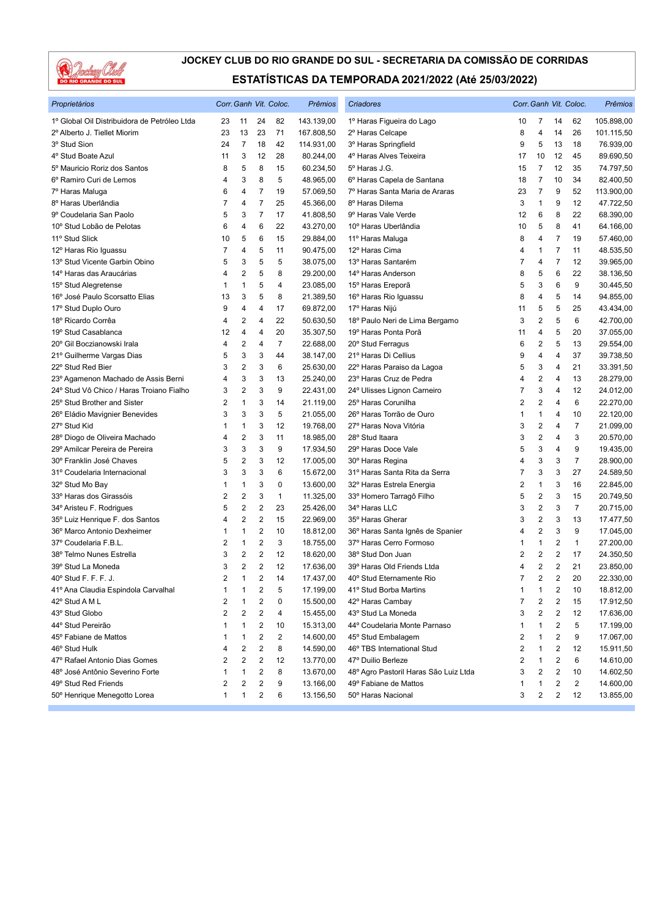

| Proprietários                                |                |                |                         | Corr. Ganh Vit. Coloc. | Prêmios    | Criadores                             |                |                         |    | Corr. Ganh Vit. Coloc.  | Prêmios    |
|----------------------------------------------|----------------|----------------|-------------------------|------------------------|------------|---------------------------------------|----------------|-------------------------|----|-------------------------|------------|
| 1º Global Oil Distribuidora de Petróleo Ltda | 23             | 11             | 24                      | 82                     | 143.139,00 | 1º Haras Figueira do Lago             | 10             | 7                       | 14 | 62                      | 105.898,00 |
| 2º Alberto J. Tiellet Miorim                 | 23             | 13             | 23                      | 71                     | 167.808.50 | 2º Haras Celcape                      | 8              | $\overline{4}$          | 14 | 26                      | 101.115,50 |
| 3º Stud Sion                                 | 24             | $\overline{7}$ | 18                      | 42                     | 114.931,00 | 3º Haras Springfield                  | 9              | 5                       | 13 | 18                      | 76.939,00  |
| 4° Stud Boate Azul                           | 11             | 3              | 12                      | 28                     | 80.244,00  | 4º Haras Alves Teixeira               | 17             | 10                      | 12 | 45                      | 89.690,50  |
| 5º Mauricio Roriz dos Santos                 | 8              | 5              | 8                       | 15                     | 60.234,50  | 5º Haras J.G.                         | 15             | 7                       | 12 | 35                      | 74.797,50  |
| 6º Ramiro Curi de Lemos                      | 4              | 3              | 8                       | 5                      | 48.965,00  | 6º Haras Capela de Santana            | 18             | 7                       | 10 | 34                      | 82.400,50  |
| 7º Haras Maluga                              | 6              | 4              | $\overline{7}$          | 19                     | 57.069,50  | 7º Haras Santa Maria de Araras        | 23             | $\overline{7}$          | 9  | 52                      | 113.900,00 |
| 8º Haras Uberlândia                          | 7              | 4              | $\overline{7}$          | 25                     | 45.366,00  | 8º Haras Dilema                       | 3              | $\mathbf{1}$            | 9  | 12                      | 47.722,50  |
| 9º Coudelaria San Paolo                      | 5              | 3              | $\overline{7}$          | 17                     | 41.808,50  | 9º Haras Vale Verde                   | 12             | 6                       | 8  | 22                      | 68.390,00  |
| 10º Stud Lobão de Pelotas                    | 6              | 4              | 6                       | 22                     | 43.270,00  | 10º Haras Uberlândia                  | 10             | 5                       | 8  | 41                      | 64.166,00  |
| 11º Stud Slick                               | 10             | 5              | 6                       | 15                     | 29.884,00  | 11º Haras Maluga                      | 8              | 4                       | 7  | 19                      | 57.460,00  |
| 12º Haras Rio Iguassu                        | 7              | 4              | 5                       | 11                     | 90.475,00  | 12º Haras Cima                        | 4              | 1                       | 7  | 11                      | 48.535,50  |
| 13° Stud Vicente Garbin Obino                | 5              | 3              | 5                       | 5                      | 38.075,00  | 13º Haras Santarém                    | 7              | 4                       | 7  | 12                      | 39.965,00  |
| 14º Haras das Araucárias                     | 4              | 2              | 5                       | 8                      | 29.200,00  | 14° Haras Anderson                    | 8              | 5                       | 6  | 22                      | 38.136,50  |
| 15° Stud Alegretense                         | 1              | 1              | 5                       | 4                      | 23.085,00  | 15° Haras Ereporã                     | 5              | 3                       | 6  | 9                       | 30.445,50  |
| 16º José Paulo Scorsatto Elias               | 13             | 3              | 5                       | 8                      | 21.389,50  | 16° Haras Rio Iguassu                 | 8              | 4                       | 5  | 14                      | 94.855,00  |
| 17º Stud Duplo Ouro                          | 9              | 4              | 4                       | 17                     | 69.872,00  | 17º Haras Nijú                        | 11             | 5                       | 5  | 25                      | 43.434,00  |
| 18º Ricardo Corrêa                           | $\overline{4}$ | 2              | 4                       | 22                     | 50.630,50  | 18º Paulo Neri de Lima Bergamo        | 3              | $\overline{2}$          | 5  | 6                       | 42.700,00  |
| 19° Stud Casablanca                          | 12             | 4              | 4                       | 20                     | 35.307,50  | 19º Haras Ponta Porã                  | 11             | 4                       | 5  | 20                      | 37.055,00  |
| 20° Gil Boczianowski Irala                   | 4              | 2              | 4                       | $\overline{7}$         | 22.688,00  | 20° Stud Ferragus                     | 6              | $\overline{\mathbf{c}}$ | 5  | 13                      | 29.554,00  |
| 21º Guilherme Vargas Dias                    | 5              | 3              | 3                       | 44                     | 38.147,00  | 21º Haras Di Cellius                  | 9              | 4                       | 4  | 37                      | 39.738,50  |
| 22° Stud Red Bier                            | 3              | 2              | 3                       | 6                      | 25.630,00  | 22º Haras Paraiso da Lagoa            | 5              | 3                       | 4  | 21                      | 33.391,50  |
| 23º Agamenon Machado de Assis Berni          | 4              | 3              | 3                       | 13                     | 25.240,00  | 23º Haras Cruz de Pedra               | 4              | $\overline{2}$          | 4  | 13                      | 28.279,00  |
| 24º Stud Vô Chico / Haras Troiano Fialho     | 3              | 2              | 3                       | 9                      | 22.431,00  | 24° Ulisses Lignon Carneiro           | 7              | 3                       | 4  | 12                      | 24.012,00  |
| 25° Stud Brother and Sister                  | 2              | $\mathbf{1}$   | 3                       | 14                     | 21.119,00  | 25° Haras Corunilha                   | $\overline{2}$ | $\overline{\mathbf{c}}$ | 4  | 6                       | 22.270,00  |
| 26° Eládio Mavignier Benevides               | 3              | 3              | 3                       | 5                      | 21.055,00  | 26º Haras Torrão de Ouro              | 1              | $\mathbf{1}$            | 4  | 10                      | 22.120,00  |
| 27° Stud Kid                                 | 1              | 1              | 3                       | 12                     | 19.768,00  | 27º Haras Nova Vitória                | 3              | $\overline{2}$          | 4  | $\overline{7}$          | 21.099,00  |
| 28º Diogo de Oliveira Machado                | 4              | 2              | 3                       | 11                     | 18.985,00  | 28° Stud Itaara                       | 3              | $\sqrt{2}$              | 4  | 3                       | 20.570,00  |
| 29º Amilcar Pereira de Pereira               | 3              | 3              | 3                       | 9                      | 17.934,50  | 29° Haras Doce Vale                   | 5              | 3                       | 4  | 9                       | 19.435,00  |
| 30° Franklin José Chaves                     | 5              | $\overline{2}$ | 3                       | 12                     | 17.005,00  | 30° Haras Regina                      | 4              | 3                       | 3  | $\overline{7}$          | 28.900,00  |
| 31º Coudelaria Internacional                 | 3              | 3              | 3                       | 6                      | 15.672,00  | 31º Haras Santa Rita da Serra         | 7              | 3                       | 3  | 27                      | 24.589,50  |
| 32° Stud Mo Bay                              | 1              | 1              | 3                       | 0                      | 13.600,00  | 32º Haras Estrela Energia             | $\overline{2}$ | 1                       | 3  | 16                      | 22.845,00  |
| 33º Haras dos Girassóis                      | 2              | 2              | 3                       | 1                      | 11.325,00  | 33º Homero Tarragô Filho              | 5              | $\overline{\mathbf{c}}$ | 3  | 15                      | 20.749,50  |
| 34º Aristeu F. Rodrigues                     | 5              | $\overline{2}$ | $\overline{2}$          | 23                     | 25.426,00  | 34° Haras LLC                         | 3              | $\overline{2}$          | 3  | $\overline{7}$          | 20.715,00  |
| 35° Luiz Henrique F. dos Santos              | 4              | 2              | $\overline{2}$          | 15                     | 22.969,00  | 35° Haras Gherar                      | 3              | $\overline{2}$          | 3  | 13                      | 17.477,50  |
| 36° Marco Antonio Dexheimer                  | 1              | 1              | $\overline{c}$          | 10                     | 18.812,00  | 36° Haras Santa Ignês de Spanier      | 4              | $\overline{2}$          | 3  | 9                       | 17.045,00  |
| 37º Coudelaria F.B.L.                        | $\overline{2}$ | 1              | $\overline{c}$          | 3                      | 18.755,00  | 37º Haras Cerro Formoso               | 1              | 1                       | 2  | $\mathbf{1}$            | 27.200,00  |
| 38º Telmo Nunes Estrella                     | 3              | 2              | $\overline{2}$          | 12                     | 18.620,00  | 38° Stud Don Juan                     | $\overline{2}$ | $\overline{2}$          | 2  | 17                      | 24.350,50  |
| 39° Stud La Moneda                           | 3              | $\overline{2}$ | $\overline{2}$          | 12                     | 17.636,00  | 39° Haras Old Friends Ltda            | 4              | $\overline{2}$          | 2  | 21                      | 23.850,00  |
| 40° Stud F. F. F. J.                         | $\overline{2}$ | 1              | $\overline{2}$          | 14                     | 17.437,00  | 40° Stud Eternamente Rio              | 7              | $\overline{2}$          | 2  | 20                      | 22.330,00  |
| 41º Ana Claudia Espindola Carvalhal          | 1              | 1              | 2                       | 5                      | 17.199,00  | 41º Stud Borba Martins                | 1              | $\mathbf{1}$            | 2  | 10                      | 18.812,00  |
| 42° Stud A M L                               | 2              | 1              | 2                       | 0                      | 15.500,00  | 42º Haras Cambay                      | 7              | 2                       | 2  | 15                      | 17.912,50  |
| 43° Stud Globo                               | 2              | 2              | 2                       | 4                      | 15.455,00  | 43° Stud La Moneda                    | 3              | $\overline{\mathbf{c}}$ | 2  | 12                      | 17.636,00  |
| 44º Stud Pereirão                            | 1              | 1              | 2                       | 10                     | 15.313,00  | 44º Coudelaria Monte Parnaso          | 1              | 1                       | 2  | 5                       | 17.199,00  |
| 45° Fabiane de Mattos                        |                | 1              | 2                       | 2                      | 14.600,00  | 45° Stud Embalagem                    | 2              | 1                       | 2  | 9                       | 17.067,00  |
| 46° Stud Hulk                                | 4              | 2              | 2                       | 8                      | 14.590,00  | 46° TBS International Stud            | 2              | 1                       | 2  | 12                      | 15.911,50  |
| 47º Rafael Antonio Dias Gomes                | 2              | 2              | 2                       | 12                     | 13.770,00  | 47º Duilio Berleze                    | 2              | 1                       | 2  | 6                       | 14.610,00  |
| 48º José Antônio Severino Forte              | 1              | 1              | 2                       | 8                      | 13.670,00  | 48º Agro Pastoril Haras São Luiz Ltda | 3              | 2                       | 2  | 10                      | 14.602,50  |
| 49° Stud Red Friends                         | 2              | 2              | $\overline{\mathbf{c}}$ | 9                      | 13.166,00  | 49º Fabiane de Mattos                 | 1              | 1                       | 2  | $\overline{\mathbf{c}}$ | 14.600,00  |
| 50° Henrique Menegotto Lorea                 | $\mathbf{1}$   | 1              | 2                       | 6                      | 13.156,50  | 50° Haras Nacional                    | 3              | $\overline{\mathbf{c}}$ | 2  | 12                      | 13.855,00  |
|                                              |                |                |                         |                        |            |                                       |                |                         |    |                         |            |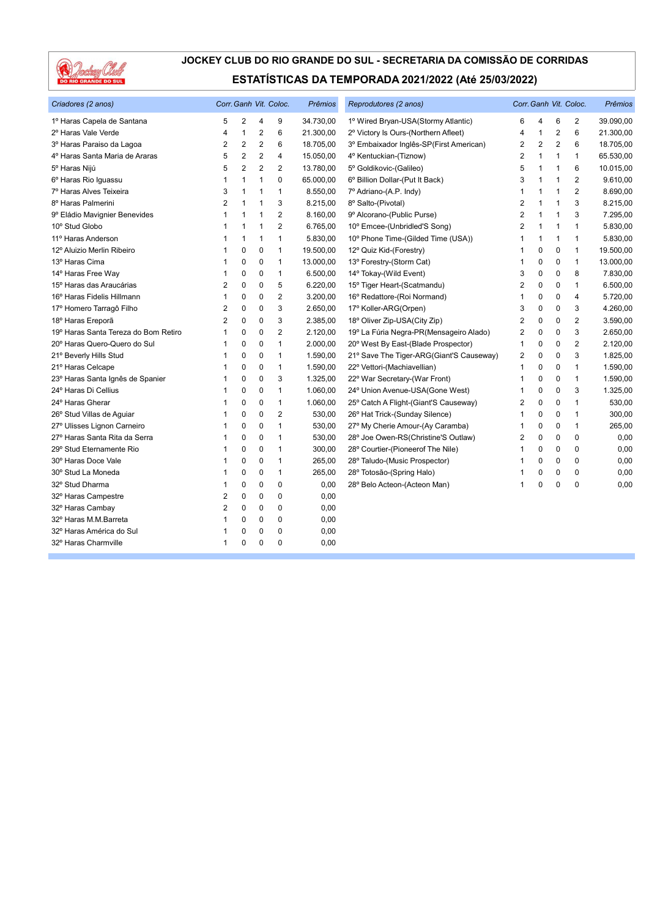

| Criadores (2 anos)                   |                | Corr. Ganh Vit. Coloc. |                |                | Prêmios   | Reprodutores (2 anos)                    | Corr. Ganh Vit. Coloc. |                | <b>Prêmios</b> |                |           |
|--------------------------------------|----------------|------------------------|----------------|----------------|-----------|------------------------------------------|------------------------|----------------|----------------|----------------|-----------|
| 1º Haras Capela de Santana           | 5              | $\overline{2}$         | 4              | 9              | 34.730,00 | 1º Wired Bryan-USA(Stormy Atlantic)      | 6                      | 4              | 6              | 2              | 39.090,00 |
| 2º Haras Vale Verde                  | 4              | $\mathbf{1}$           | $\overline{2}$ | 6              | 21.300,00 | 2º Victory Is Ours-(Northern Afleet)     | 4                      | 1              | $\overline{2}$ | 6              | 21.300,00 |
| 3º Haras Paraiso da Lagoa            | 2              | $\overline{2}$         | $\overline{2}$ | 6              | 18.705,00 | 3º Embaixador Inglês-SP(First American)  | $\overline{2}$         | $\overline{2}$ | 2              | 6              | 18.705,00 |
| 4º Haras Santa Maria de Araras       | 5              | 2                      | $\overline{2}$ | 4              | 15.050,00 | 4º Kentuckian-(Tiznow)                   | $\overline{2}$         | 1              | 1              | $\mathbf{1}$   | 65.530,00 |
| 5º Haras Nijú                        | 5              | $\overline{2}$         | $\overline{2}$ | $\overline{2}$ | 13.780,00 | 5° Goldikovic-(Galileo)                  | 5                      | 1              | 1              | 6              | 10.015,00 |
| 6º Haras Rio Iguassu                 | 1              | $\mathbf{1}$           | $\mathbf{1}$   | $\mathbf 0$    | 65.000,00 | 6° Billion Dollar-(Put It Back)          | 3                      | 1              | $\mathbf 1$    | 2              | 9.610,00  |
| 7º Haras Alves Teixeira              | 3              | $\mathbf{1}$           | 1              | 1              | 8.550,00  | 7º Adriano-(A.P. Indy)                   | $\mathbf 1$            | 1              | 1              | $\overline{2}$ | 8.690,00  |
| 8º Haras Palmerini                   | $\overline{2}$ | $\mathbf{1}$           | $\overline{1}$ | 3              | 8.215,00  | 8º Salto-(Pivotal)                       | $\overline{2}$         | 1              | $\mathbf 1$    | 3              | 8.215,00  |
| 9º Eládio Mavignier Benevides        | 1              | $\mathbf{1}$           | $\mathbf{1}$   | $\overline{2}$ | 8.160,00  | 9º Alcorano-(Public Purse)               | $\overline{2}$         | 1              | $\mathbf{1}$   | 3              | 7.295,00  |
| 10° Stud Globo                       | 1              | $\mathbf{1}$           | $\mathbf{1}$   | $\overline{2}$ | 6.765,00  | 10° Emcee-(Unbridled'S Song)             | $\overline{2}$         | 1              | 1              | $\mathbf{1}$   | 5.830,00  |
| 11º Haras Anderson                   | 1              | $\mathbf{1}$           | $\mathbf{1}$   | $\mathbf{1}$   | 5.830,00  | 10° Phone Time-(Gilded Time (USA))       | $\mathbf 1$            | 1              | 1              | $\mathbf{1}$   | 5.830,00  |
| 12º Aluizio Merlin Ribeiro           | 1              | $\mathbf 0$            | $\mathbf 0$    | 1              | 19.500,00 | 12° Quiz Kid-(Forestry)                  | 1                      | $\mathbf 0$    | 0              | $\mathbf{1}$   | 19.500,00 |
| 13º Haras Cima                       | 1              | 0                      | $\mathbf 0$    | 1              | 13.000,00 | 13° Forestry-(Storm Cat)                 | $\mathbf 1$            | 0              | 0              | $\mathbf{1}$   | 13.000,00 |
| 14º Haras Free Way                   | 1              | $\mathbf 0$            | 0              | 1              | 6.500,00  | 14° Tokay-(Wild Event)                   | 3                      | $\mathbf 0$    | $\Omega$       | 8              | 7.830,00  |
| 15º Haras das Araucárias             | 2              | $\pmb{0}$              | 0              | 5              | 6.220,00  | 15° Tiger Heart-(Scatmandu)              | 2                      | 0              | 0              | $\mathbf{1}$   | 6.500,00  |
| 16° Haras Fidelis Hillmann           | 1              | 0                      | 0              | 2              | 3.200,00  | 16° Redattore-(Roi Normand)              | $\mathbf 1$            | $\mathbf 0$    | 0              | $\overline{4}$ | 5.720,00  |
| 17º Homero Tarragô Filho             | 2              | $\mathbf 0$            | 0              | 3              | 2.650,00  | 17º Koller-ARG(Orpen)                    | 3                      | $\Omega$       | $\Omega$       | 3              | 4.260,00  |
| 18º Haras Ereporã                    | $\overline{2}$ | $\mathbf 0$            | $\mathbf 0$    | 3              | 2.385,00  | 18° Oliver Zip-USA(City Zip)             | $\overline{2}$         | $\mathbf 0$    | 0              | $\overline{2}$ | 3.590,00  |
| 19º Haras Santa Tereza do Bom Retiro | 1              | 0                      | 0              | $\overline{2}$ | 2.120,00  | 19º La Fúria Negra-PR(Mensageiro Alado)  | $\overline{2}$         | 0              | 0              | 3              | 2.650,00  |
| 20° Haras Quero-Quero do Sul         | 1              | $\mathbf 0$            | $\mathbf 0$    | 1              | 2.000,00  | 20° West By East-(Blade Prospector)      | $\mathbf{1}$           | $\Omega$       | 0              | $\overline{2}$ | 2.120,00  |
| 21º Beverly Hills Stud               | 1              | $\pmb{0}$              | 0              | $\mathbf{1}$   | 1.590,00  | 21° Save The Tiger-ARG(Giant'S Causeway) | $\overline{2}$         | $\mathbf{0}$   | 0              | 3              | 1.825,00  |
| 21º Haras Celcape                    | 1              | $\mathbf 0$            | 0              | 1              | 1.590,00  | 22° Vettori-(Machiavellian)              | 1                      | $\mathbf 0$    | 0              | $\mathbf{1}$   | 1.590,00  |
| 23º Haras Santa Ignês de Spanier     | 1              | $\mathbf 0$            | 0              | 3              | 1.325,00  | 22° War Secretary-(War Front)            | 1                      | $\Omega$       | 0              | $\mathbf{1}$   | 1.590,00  |
| 24° Haras Di Cellius                 | 1              | $\pmb{0}$              | $\pmb{0}$      | $\mathbf{1}$   | 1.060,00  | 24° Union Avenue-USA(Gone West)          | $\mathbf{1}$           | 0              | 0              | 3              | 1.325,00  |
| 24° Haras Gherar                     | 1              | $\pmb{0}$              | $\mathbf 0$    | $\mathbf{1}$   | 1.060,00  | 25° Catch A Flight-(Giant'S Causeway)    | 2                      | $\mathbf{0}$   | 0              | $\mathbf{1}$   | 530,00    |
| 26° Stud Villas de Aguiar            | 1              | $\pmb{0}$              | $\mathbf 0$    | $\overline{2}$ | 530,00    | 26° Hat Trick-(Sunday Silence)           | $\mathbf 1$            | $\mathbf 0$    | 0              | $\mathbf{1}$   | 300,00    |
| 27º Ulisses Lignon Carneiro          |                | $\mathbf 0$            | $\pmb{0}$      | 1              | 530,00    | 27° My Cherie Amour-(Ay Caramba)         | 1                      | $\mathbf 0$    | 0              | $\mathbf{1}$   | 265,00    |
| 27º Haras Santa Rita da Serra        | 1              | $\mathbf 0$            | $\mathbf 0$    | 1              | 530,00    | 28° Joe Owen-RS(Christine'S Outlaw)      | $\overline{2}$         | $\mathbf 0$    | 0              | $\mathbf 0$    | 0,00      |
| 29° Stud Eternamente Rio             | 1              | $\mathbf 0$            | $\mathbf 0$    | 1              | 300,00    | 28° Courtier-(Pioneerof The Nile)        | $\mathbf 1$            | $\mathbf 0$    | 0              | $\mathbf 0$    | 0,00      |
| 30° Haras Doce Vale                  | 1              | $\pmb{0}$              | $\pmb{0}$      | 1              | 265,00    | 28° Taludo-(Music Prospector)            | $\mathbf 1$            | $\mathbf{0}$   | $\mathbf 0$    | $\mathbf 0$    | 0,00      |
| 30° Stud La Moneda                   | 1              | 0                      | $\mathbf 0$    | 1              | 265,00    | 28° Totosão-(Spring Halo)                | 1                      | $\mathbf 0$    | 0              | $\mathbf 0$    | 0,00      |
| 32° Stud Dharma                      | 1              | $\Omega$               | 0              | $\mathbf 0$    | 0,00      | 28º Belo Acteon-(Acteon Man)             | $\mathbf{1}$           | $\mathbf 0$    | $\Omega$       | $\Omega$       | 0,00      |
| 32º Haras Campestre                  | 2              | $\mathbf 0$            | 0              | $\mathbf 0$    | 0,00      |                                          |                        |                |                |                |           |
| 32º Haras Cambay                     | 2              | $\pmb{0}$              | $\mathbf 0$    | $\mathbf 0$    | 0,00      |                                          |                        |                |                |                |           |
| 32º Haras M.M.Barreta                | 1              | 0                      | $\mathbf 0$    | $\mathbf 0$    | 0,00      |                                          |                        |                |                |                |           |
| 32º Haras América do Sul             |                | 0                      | $\mathbf 0$    | 0              | 0,00      |                                          |                        |                |                |                |           |
| 32º Haras Charmville                 | 1              | 0                      | $\mathbf 0$    | $\Omega$       | 0,00      |                                          |                        |                |                |                |           |